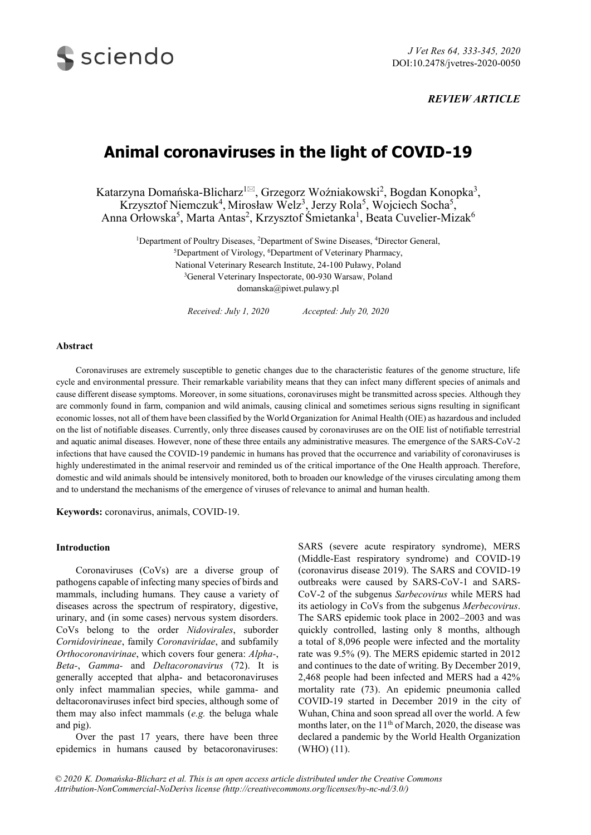

# *REVIEW ARTICLE*

# **Animal coronaviruses in the light of COVID-19**

Katarzyna Domańska-Blicharz<sup>1 $\boxtimes$ </sup>, Grzegorz Woźniakowski<sup>2</sup>, Bogdan Konopka<sup>3</sup>, Krzysztof Niemczuk<sup>4</sup>, Mirosław Welz<sup>3</sup>, Jerzy Rola<sup>5</sup>, Wojciech Socha<sup>5</sup>, Anna Orłowska<sup>5</sup>, Marta Antas<sup>2</sup>, Krzysztof Śmietanka<sup>1</sup>, Beata Cuvelier-Mizak<sup>6</sup>

<sup>1</sup>Department of Poultry Diseases, <sup>2</sup>Department of Swine Diseases, <sup>4</sup>Director General, <sup>5</sup>Department of Virology, <sup>6</sup>Department of Veterinary Pharmacy, National Veterinary Research Institute, 24-100 Puławy, Poland

> <sup>3</sup>General Veterinary Inspectorate, 00-930 Warsaw, Poland domanska@piwet.pulawy.pl

*Received: July 1, 2020 Accepted: July 20, 2020*

# **Abstract**

Coronaviruses are extremely susceptible to genetic changes due to the characteristic features of the genome structure, life cycle and environmental pressure. Their remarkable variability means that they can infect many different species of animals and cause different disease symptoms. Moreover, in some situations, coronaviruses might be transmitted across species. Although they are commonly found in farm, companion and wild animals, causing clinical and sometimes serious signs resulting in significant economic losses, not all of them have been classified by the World Organization for Animal Health (OIE) as hazardous and included on the list of notifiable diseases. Currently, only three diseases caused by coronaviruses are on the OIE list of notifiable terrestrial and aquatic animal diseases. However, none of these three entails any administrative measures. The emergence of the SARS-CoV-2 infections that have caused the COVID-19 pandemic in humans has proved that the occurrence and variability of coronaviruses is highly underestimated in the animal reservoir and reminded us of the critical importance of the One Health approach. Therefore, domestic and wild animals should be intensively monitored, both to broaden our knowledge of the viruses circulating among them and to understand the mechanisms of the emergence of viruses of relevance to animal and human health.

**Keywords:** coronavirus, animals, COVID-19.

# **Introduction**

Coronaviruses (CoVs) are a diverse group of pathogens capable of infecting many species of birds and mammals, including humans. They cause a variety of diseases across the spectrum of respiratory, digestive, urinary, and (in some cases) nervous system disorders. CoVs belong to the order *Nidovirales*, suborder *Cornidovirineae*, family *Coronaviridae*, and subfamily *Orthocoronavirinae*, which covers four genera: *Alpha-*, *Beta-*, *Gamma-* and *Deltacoronavirus* (72). It is generally accepted that alpha- and betacoronaviruses only infect mammalian species, while gamma- and deltacoronaviruses infect bird species, although some of them may also infect mammals (*e.g.* the beluga whale and pig).

Over the past 17 years, there have been three epidemics in humans caused by betacoronaviruses:

SARS (severe acute respiratory syndrome), MERS (Middle-East respiratory syndrome) and COVID-19 (coronavirus disease 2019). The SARS and COVID-19 outbreaks were caused by SARS-CoV-1 and SARS-CoV-2 of the subgenus *Sarbecovirus* while MERS had its aetiology in CoVs from the subgenus *Merbecovirus*. The SARS epidemic took place in 2002–2003 and was quickly controlled, lasting only 8 months, although a total of 8,096 people were infected and the mortality rate was 9.5% (9). The MERS epidemic started in 2012 and continues to the date of writing. By December 2019, 2,468 people had been infected and MERS had a 42% mortality rate (73). An epidemic pneumonia called COVID-19 started in December 2019 in the city of Wuhan, China and soon spread all over the world. A few months later, on the 11<sup>th</sup> of March, 2020, the disease was declared a pandemic by the World Health Organization (WHO) (11).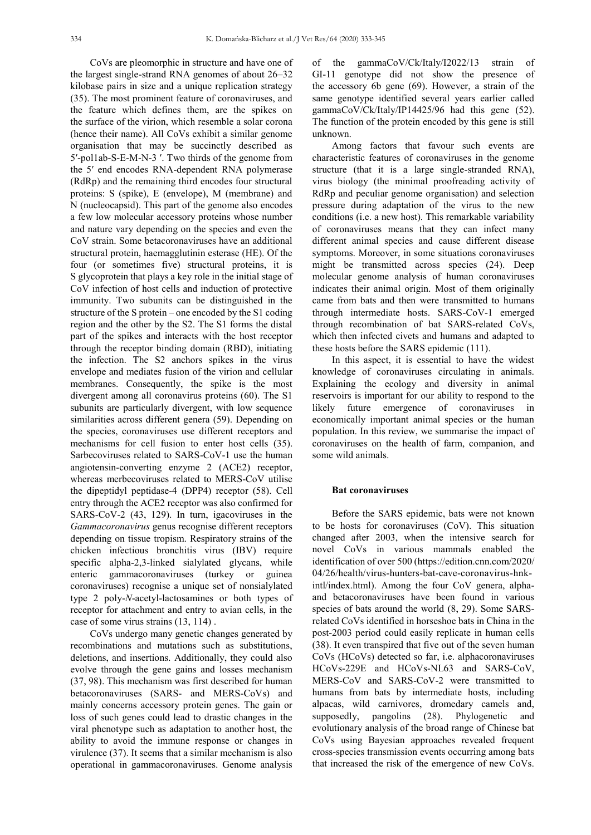CoVs are pleomorphic in structure and have one of the largest single-strand RNA genomes of about 26–32 kilobase pairs in size and a unique replication strategy (35). The most prominent feature of coronaviruses, and the feature which defines them, are the spikes on the surface of the virion, which resemble a solar corona (hence their name). All CoVs exhibit a similar genome organisation that may be succinctly described as 5′-pol1ab-S-E-M-N-3 ′. Two thirds of the genome from the 5′ end encodes RNA-dependent RNA polymerase (RdRp) and the remaining third encodes four structural proteins: S (spike), E (envelope), M (membrane) and N (nucleocapsid). This part of the genome also encodes a few low molecular accessory proteins whose number and nature vary depending on the species and even the CoV strain. Some betacoronaviruses have an additional structural protein, haemagglutinin esterase (HE). Of the four (or sometimes five) structural proteins, it is S glycoprotein that plays a key role in the initial stage of CoV infection of host cells and induction of protective immunity. Two subunits can be distinguished in the structure of the S protein – one encoded by the S1 coding region and the other by the S2. The S1 forms the distal part of the spikes and interacts with the host receptor through the receptor binding domain (RBD), initiating the infection. The S2 anchors spikes in the virus envelope and mediates fusion of the virion and cellular membranes. Consequently, the spike is the most divergent among all coronavirus proteins (60). The S1 subunits are particularly divergent, with low sequence similarities across different genera (59). Depending on the species, coronaviruses use different receptors and mechanisms for cell fusion to enter host cells (35). Sarbecoviruses related to SARS-CoV-1 use the human angiotensin-converting enzyme 2 (ACE2) receptor, whereas merbecoviruses related to MERS-CoV utilise the dipeptidyl peptidase-4 (DPP4) receptor (58). Cell entry through the ACE2 receptor was also confirmed for SARS-CoV-2 (43, 129). In turn, igacoviruses in the *Gammacoronavirus* genus recognise different receptors depending on tissue tropism. Respiratory strains of the chicken infectious bronchitis virus (IBV) require specific alpha-2,3-linked sialylated glycans, while enteric gammacoronaviruses (turkey or guinea coronaviruses) recognise a unique set of nonsialylated type 2 poly-*N*-acetyl-lactosamines or both types of receptor for attachment and entry to avian cells, in the case of some virus strains (13, 114) .

CoVs undergo many genetic changes generated by recombinations and mutations such as substitutions, deletions, and insertions. Additionally, they could also evolve through the gene gains and losses mechanism (37, 98). This mechanism was first described for human betacoronaviruses (SARS- and MERS-CoVs) and mainly concerns accessory protein genes. The gain or loss of such genes could lead to drastic changes in the viral phenotype such as adaptation to another host, the ability to avoid the immune response or changes in virulence (37). It seems that a similar mechanism is also operational in gammacoronaviruses. Genome analysis of the gammaCoV/Ck/Italy/I2022/13 strain of GI-11 genotype did not show the presence of the accessory 6b gene (69). However, a strain of the same genotype identified several years earlier called gammaCoV/Ck/Italy/IP14425/96 had this gene (52). The function of the protein encoded by this gene is still unknown.

Among factors that favour such events are characteristic features of coronaviruses in the genome structure (that it is a large single-stranded RNA), virus biology (the minimal proofreading activity of RdRp and peculiar genome organisation) and selection pressure during adaptation of the virus to the new conditions (i.e. a new host). This remarkable variability of coronaviruses means that they can infect many different animal species and cause different disease symptoms. Moreover, in some situations coronaviruses might be transmitted across species (24). Deep molecular genome analysis of human coronaviruses indicates their animal origin. Most of them originally came from bats and then were transmitted to humans through intermediate hosts. SARS-CoV-1 emerged through recombination of bat SARS-related CoVs, which then infected civets and humans and adapted to these hosts before the SARS epidemic (111).

In this aspect, it is essential to have the widest knowledge of coronaviruses circulating in animals. Explaining the ecology and diversity in animal reservoirs is important for our ability to respond to the likely future emergence of coronaviruses in economically important animal species or the human population. In this review, we summarise the impact of coronaviruses on the health of farm, companion, and some wild animals.

#### **Bat coronaviruses**

Before the SARS epidemic, bats were not known to be hosts for coronaviruses (CoV). This situation changed after 2003, when the intensive search for novel CoVs in various mammals enabled the identification of over 500 (https://edition.cnn.com/2020/ 04/26/health/virus-hunters-bat-cave-coronavirus-hnkintl/index.html). Among the four CoV genera, alphaand betacoronaviruses have been found in various species of bats around the world (8, 29). Some SARSrelated CoVs identified in horseshoe bats in China in the post-2003 period could easily replicate in human cells (38). It even transpired that five out of the seven human CoVs (HCoVs) detected so far, i.e. alphacoronaviruses HCoVs-229E and HCoVs-NL63 and SARS-CoV, MERS-CoV and SARS-CoV-2 were transmitted to humans from bats by intermediate hosts, including alpacas, wild carnivores, dromedary camels and, supposedly, pangolins (28). Phylogenetic and evolutionary analysis of the broad range of Chinese bat CoVs using Bayesian approaches revealed frequent cross-species transmission events occurring among bats that increased the risk of the emergence of new CoVs.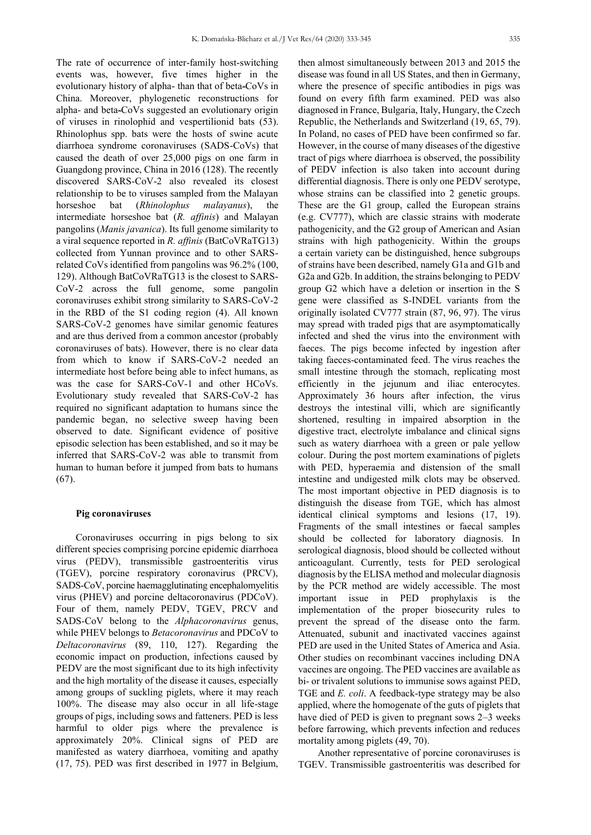The rate of occurrence of inter-family host-switching events was, however, five times higher in the evolutionary history of alpha- than that of beta-CoVs in China. Moreover, phylogenetic reconstructions for alpha- and beta-CoVs suggested an evolutionary origin of viruses in rinolophid and vespertilionid bats (53). Rhinolophus spp. bats were the hosts of swine acute diarrhoea syndrome coronaviruses (SADS-CoVs) that caused the death of over 25,000 pigs on one farm in Guangdong province, China in 2016 (128). The recently discovered SARS-CoV-2 also revealed its closest relationship to be to viruses sampled from the Malayan horseshoe bat (*Rhinolophus malayanus*), the intermediate horseshoe bat (*R. affinis*) and Malayan pangolins (*Manis javanica*). Its full genome similarity to a viral sequence reported in *R. affinis* (BatCoVRaTG13) collected from Yunnan province and to other SARSrelated CoVs identified from pangolins was 96.2% (100, 129). Although BatCoVRaTG13 is the closest to SARS-CoV-2 across the full genome, some pangolin coronaviruses exhibit strong similarity to SARS-CoV-2 in the RBD of the S1 coding region (4). All known SARS-CoV-2 genomes have similar genomic features and are thus derived from a common ancestor (probably coronaviruses of bats). However, there is no clear data from which to know if SARS-CoV-2 needed an intermediate host before being able to infect humans, as was the case for SARS-CoV-1 and other HCoVs. Evolutionary study revealed that SARS-CoV-2 has required no significant adaptation to humans since the pandemic began, no selective sweep having been observed to date. Significant evidence of positive episodic selection has been established, and so it may be inferred that SARS-CoV-2 was able to transmit from human to human before it jumped from bats to humans (67).

#### **Pig coronaviruses**

Coronaviruses occurring in pigs belong to six different species comprising porcine epidemic diarrhoea virus (PEDV), transmissible gastroenteritis virus (TGEV), porcine respiratory coronavirus (PRCV), SADS-CoV, porcine haemagglutinating encephalomyelitis virus (PHEV) and porcine deltacoronavirus (PDCoV). Four of them, namely PEDV, TGEV, PRCV and SADS-CoV belong to the *Alphacoronavirus* genus, while PHEV belongs to *Betacoronavirus* and PDCoV to *Deltacoronavirus* (89, 110, 127). Regarding the economic impact on production, infections caused by PEDV are the most significant due to its high infectivity and the high mortality of the disease it causes, especially among groups of suckling piglets, where it may reach 100%. The disease may also occur in all life-stage groups of pigs, including sows and fatteners. PED is less harmful to older pigs where the prevalence is approximately 20%. Clinical signs of PED are manifested as watery diarrhoea, vomiting and apathy (17, 75). PED was first described in 1977 in Belgium,

then almost simultaneously between 2013 and 2015 the disease was found in all US States, and then in Germany, where the presence of specific antibodies in pigs was found on every fifth farm examined. PED was also diagnosed in France, Bulgaria, Italy, Hungary, the Czech Republic, the Netherlands and Switzerland (19, 65, 79). In Poland, no cases of PED have been confirmed so far. However, in the course of many diseases of the digestive tract of pigs where diarrhoea is observed, the possibility of PEDV infection is also taken into account during differential diagnosis. There is only one PEDV serotype, whose strains can be classified into 2 genetic groups. These are the G1 group, called the European strains (e.g. CV777), which are classic strains with moderate pathogenicity, and the G2 group of American and Asian strains with high pathogenicity. Within the groups a certain variety can be distinguished, hence subgroups of strains have been described, namely G1a and G1b and G2a and G2b. In addition, the strains belonging to PEDV group G2 which have a deletion or insertion in the S gene were classified as S-INDEL variants from the originally isolated CV777 strain (87, 96, 97). The virus may spread with traded pigs that are asymptomatically infected and shed the virus into the environment with faeces. The pigs become infected by ingestion after taking faeces-contaminated feed. The virus reaches the small intestine through the stomach, replicating most efficiently in the jejunum and iliac enterocytes. Approximately 36 hours after infection, the virus destroys the intestinal villi, which are significantly shortened, resulting in impaired absorption in the digestive tract, electrolyte imbalance and clinical signs such as watery diarrhoea with a green or pale yellow colour. During the post mortem examinations of piglets with PED, hyperaemia and distension of the small intestine and undigested milk clots may be observed. The most important objective in PED diagnosis is to distinguish the disease from TGE, which has almost identical clinical symptoms and lesions (17, 19). Fragments of the small intestines or faecal samples should be collected for laboratory diagnosis. In serological diagnosis, blood should be collected without anticoagulant. Currently, tests for PED serological diagnosis by the ELISA method and molecular diagnosis by the PCR method are widely accessible. The most important issue in PED prophylaxis is the implementation of the proper biosecurity rules to prevent the spread of the disease onto the farm. Attenuated, subunit and inactivated vaccines against PED are used in the United States of America and Asia. Other studies on recombinant vaccines including DNA vaccines are ongoing. The PED vaccines are available as bi- or trivalent solutions to immunise sows against PED, TGE and *E. coli*. A feedback-type strategy may be also applied, where the homogenate of the guts of piglets that have died of PED is given to pregnant sows 2–3 weeks before farrowing, which prevents infection and reduces mortality among piglets (49, 70).

Another representative of porcine coronaviruses is TGEV. Transmissible gastroenteritis was described for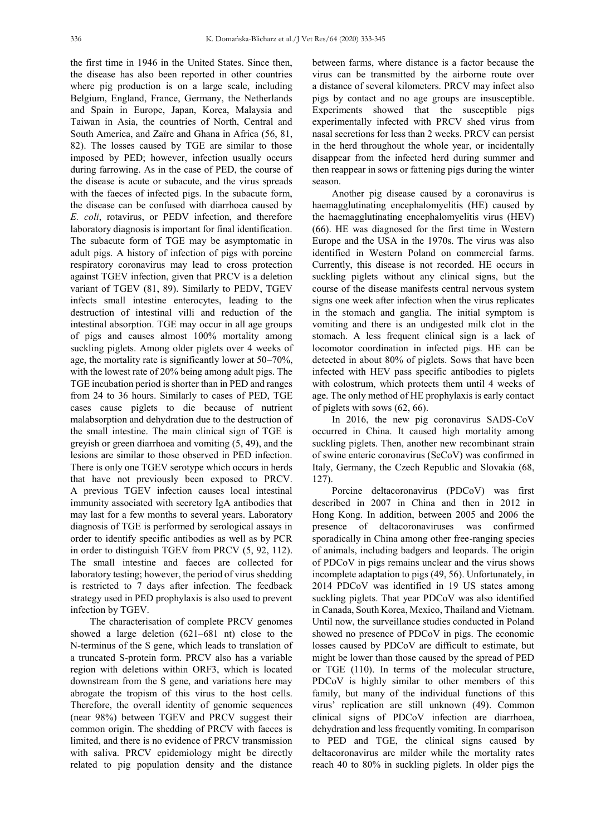the first time in 1946 in the United States. Since then, the disease has also been reported in other countries where pig production is on a large scale, including Belgium, England, France, Germany, the Netherlands and Spain in Europe, Japan, Korea, Malaysia and Taiwan in Asia, the countries of North, Central and South America, and Zaïre and Ghana in Africa (56, 81, 82). The losses caused by TGE are similar to those imposed by PED; however, infection usually occurs during farrowing. As in the case of PED, the course of the disease is acute or subacute, and the virus spreads with the faeces of infected pigs. In the subacute form, the disease can be confused with diarrhoea caused by *E. coli*, rotavirus, or PEDV infection, and therefore laboratory diagnosis is important for final identification. The subacute form of TGE may be asymptomatic in adult pigs. A history of infection of pigs with porcine respiratory coronavirus may lead to cross protection against TGEV infection, given that PRCV is a deletion variant of TGEV (81, 89). Similarly to PEDV, TGEV infects small intestine enterocytes, leading to the destruction of intestinal villi and reduction of the intestinal absorption. TGE may occur in all age groups of pigs and causes almost 100% mortality among suckling piglets. Among older piglets over 4 weeks of age, the mortality rate is significantly lower at 50–70%, with the lowest rate of 20% being among adult pigs. The TGE incubation period is shorter than in PED and ranges from 24 to 36 hours. Similarly to cases of PED, TGE cases cause piglets to die because of nutrient malabsorption and dehydration due to the destruction of the small intestine. The main clinical sign of TGE is greyish or green diarrhoea and vomiting (5, 49), and the lesions are similar to those observed in PED infection. There is only one TGEV serotype which occurs in herds that have not previously been exposed to PRCV. A previous TGEV infection causes local intestinal immunity associated with secretory IgA antibodies that may last for a few months to several years. Laboratory diagnosis of TGE is performed by serological assays in order to identify specific antibodies as well as by PCR in order to distinguish TGEV from PRCV (5, 92, 112). The small intestine and faeces are collected for laboratory testing; however, the period of virus shedding is restricted to 7 days after infection. The feedback strategy used in PED prophylaxis is also used to prevent infection by TGEV.

The characterisation of complete PRCV genomes showed a large deletion (621–681 nt) close to the N-terminus of the S gene, which leads to translation of a truncated S-protein form. PRCV also has a variable region with deletions within ORF3, which is located downstream from the S gene, and variations here may abrogate the tropism of this virus to the host cells. Therefore, the overall identity of genomic sequences (near 98%) between TGEV and PRCV suggest their common origin. The shedding of PRCV with faeces is limited, and there is no evidence of PRCV transmission with saliva. PRCV epidemiology might be directly related to pig population density and the distance

between farms, where distance is a factor because the virus can be transmitted by the airborne route over a distance of several kilometers. PRCV may infect also pigs by contact and no age groups are insusceptible. Experiments showed that the susceptible pigs experimentally infected with PRCV shed virus from nasal secretions for less than 2 weeks. PRCV can persist in the herd throughout the whole year, or incidentally disappear from the infected herd during summer and then reappear in sows or fattening pigs during the winter season.

Another pig disease caused by a coronavirus is haemagglutinating encephalomyelitis (HE) caused by the haemagglutinating encephalomyelitis virus (HEV) (66). HE was diagnosed for the first time in Western Europe and the USA in the 1970s. The virus was also identified in Western Poland on commercial farms. Currently, this disease is not recorded. HE occurs in suckling piglets without any clinical signs, but the course of the disease manifests central nervous system signs one week after infection when the virus replicates in the stomach and ganglia. The initial symptom is vomiting and there is an undigested milk clot in the stomach. A less frequent clinical sign is a lack of locomotor coordination in infected pigs. HE can be detected in about 80% of piglets. Sows that have been infected with HEV pass specific antibodies to piglets with colostrum, which protects them until 4 weeks of age. The only method of HE prophylaxis is early contact of piglets with sows (62, 66).

In 2016, the new pig coronavirus SADS-CoV occurred in China. It caused high mortality among suckling piglets. Then, another new recombinant strain of swine enteric coronavirus (SeCoV) was confirmed in Italy, Germany, the Czech Republic and Slovakia (68, 127).

Porcine deltacoronavirus (PDCoV) was first described in 2007 in China and then in 2012 in Hong Kong. In addition, between 2005 and 2006 the presence of deltacoronaviruses was confirmed sporadically in China among other free-ranging species of animals, including badgers and leopards. The origin of PDCoV in pigs remains unclear and the virus shows incomplete adaptation to pigs (49, 56). Unfortunately, in 2014 PDCoV was identified in 19 US states among suckling piglets. That year PDCoV was also identified in Canada, South Korea, Mexico, Thailand and Vietnam. Until now, the surveillance studies conducted in Poland showed no presence of PDCoV in pigs. The economic losses caused by PDCoV are difficult to estimate, but might be lower than those caused by the spread of PED or TGE (110). In terms of the molecular structure, PDCoV is highly similar to other members of this family, but many of the individual functions of this virus' replication are still unknown (49). Common clinical signs of PDCoV infection are diarrhoea, dehydration and less frequently vomiting. In comparison to PED and TGE, the clinical signs caused by deltacoronavirus are milder while the mortality rates reach 40 to 80% in suckling piglets. In older pigs the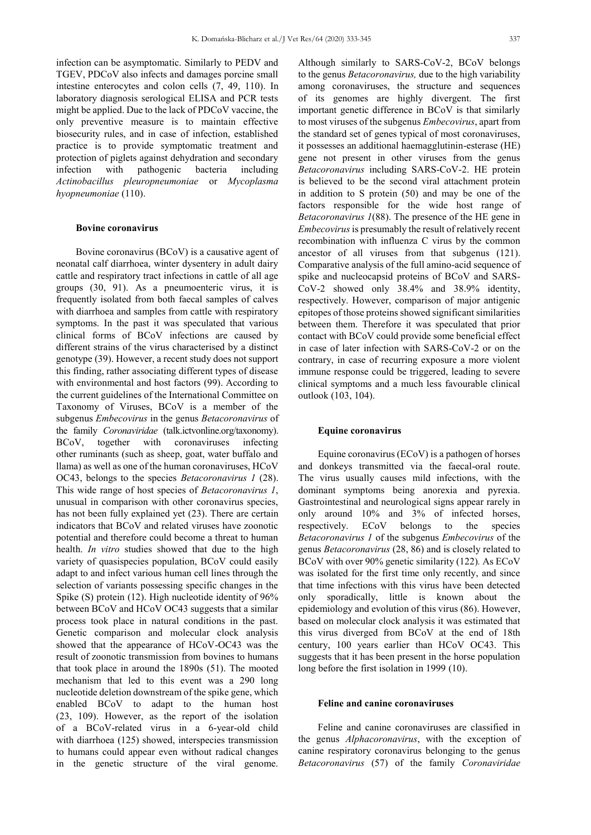infection can be asymptomatic. Similarly to PEDV and

TGEV, PDCoV also infects and damages porcine small intestine enterocytes and colon cells (7, 49, 110). In laboratory diagnosis serological ELISA and PCR tests might be applied. Due to the lack of PDCoV vaccine, the only preventive measure is to maintain effective biosecurity rules, and in case of infection, established practice is to provide symptomatic treatment and protection of piglets against dehydration and secondary infection with pathogenic bacteria including *Actinobacillus pleuropneumoniae* or *Mycoplasma hyopneumoniae* (110).

# **Bovine coronavirus**

Bovine coronavirus (BCoV) is a causative agent of neonatal calf diarrhoea, winter dysentery in adult dairy cattle and respiratory tract infections in cattle of all age groups (30, 91). As a pneumoenteric virus, it is frequently isolated from both faecal samples of calves with diarrhoea and samples from cattle with respiratory symptoms. In the past it was speculated that various clinical forms of BCoV infections are caused by different strains of the virus characterised by a distinct genotype (39). However, a recent study does not support this finding, rather associating different types of disease with environmental and host factors (99). According to the current guidelines of the International Committee on Taxonomy of Viruses, BCoV is a member of the subgenus *Embecovirus* in the genus *Betacoronavirus* of the family *Coronaviridae* (talk.ictvonline.org/taxonomy). BCoV, together with coronaviruses infecting other ruminants (such as sheep, goat, water buffalo and llama) as well as one of the human coronaviruses, HCoV OC43, belongs to the species *Betacoronavirus 1* (28). This wide range of host species of *Betacoronavirus 1*, unusual in comparison with other coronavirus species, has not been fully explained yet (23). There are certain indicators that BCoV and related viruses have zoonotic potential and therefore could become a threat to human health. *In vitro* studies showed that due to the high variety of quasispecies population, BCoV could easily adapt to and infect various human cell lines through the selection of variants possessing specific changes in the Spike (S) protein (12). High nucleotide identity of 96% between BCoV and HCoV OC43 suggests that a similar process took place in natural conditions in the past. Genetic comparison and molecular clock analysis showed that the appearance of HCoV-OC43 was the result of zoonotic transmission from bovines to humans that took place in around the 1890s (51). The mooted mechanism that led to this event was a 290 long nucleotide deletion downstream of the spike gene, which enabled BCoV to adapt to the human host (23, 109). However, as the report of the isolation of a BCoV-related virus in a 6-year-old child with diarrhoea (125) showed, interspecies transmission to humans could appear even without radical changes in the genetic structure of the viral genome.

Although similarly to SARS-CoV-2, BCoV belongs to the genus *Betacoronavirus,* due to the high variability among coronaviruses, the structure and sequences of its genomes are highly divergent. The first important genetic difference in BCoV is that similarly to most viruses of the subgenus *Embecovirus*, apart from the standard set of genes typical of most coronaviruses, it possesses an additional haemagglutinin-esterase (HE) gene not present in other viruses from the genus *Betacoronavirus* including SARS-CoV-2. HE protein is believed to be the second viral attachment protein in addition to S protein (50) and may be one of the factors responsible for the wide host range of *Betacoronavirus 1*(88). The presence of the HE gene in *Embecovirus* is presumably the result of relatively recent recombination with influenza C virus by the common ancestor of all viruses from that subgenus (121). Comparative analysis of the full amino-acid sequence of spike and nucleocapsid proteins of BCoV and SARS-CoV-2 showed only 38.4% and 38.9% identity, respectively. However, comparison of major antigenic epitopes of those proteins showed significant similarities between them. Therefore it was speculated that prior contact with BCoV could provide some beneficial effect in case of later infection with SARS-CoV-2 or on the

contrary, in case of recurring exposure a more violent immune response could be triggered, leading to severe clinical symptoms and a much less favourable clinical outlook (103, 104).

#### **Equine coronavirus**

Equine coronavirus (ECoV) is a pathogen of horses and donkeys transmitted via the faecal-oral route. The virus usually causes mild infections, with the dominant symptoms being anorexia and pyrexia. Gastrointestinal and neurological signs appear rarely in only around 10% and 3% of infected horses, respectively. ECoV belongs to the species *Betacoronavirus 1* of the subgenus *Embecovirus* of the genus *Betacoronavirus* (28, 86) and is closely related to BCoV with over 90% genetic similarity (122)*.* As ECoV was isolated for the first time only recently, and since that time infections with this virus have been detected only sporadically, little is known about the epidemiology and evolution of this virus (86). However, based on molecular clock analysis it was estimated that this virus diverged from BCoV at the end of 18th century, 100 years earlier than HCoV OC43. This suggests that it has been present in the horse population long before the first isolation in 1999 (10).

## **Feline and canine coronaviruses**

Feline and canine coronaviruses are classified in the genus *Alphacoronavirus*, with the exception of canine respiratory coronavirus belonging to the genus *Betacoronavirus* (57) of the family *Coronaviridae*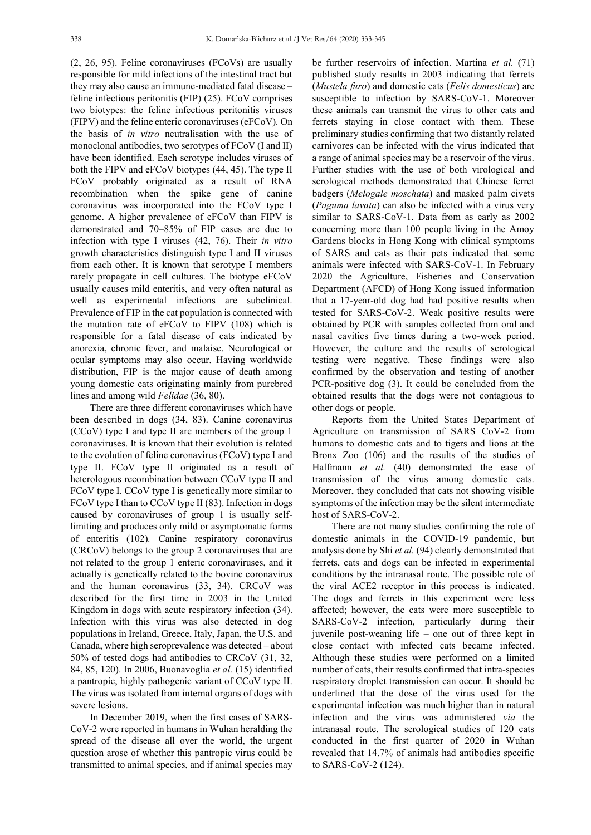(2, 26, 95). Feline coronaviruses (FCoVs) are usually responsible for mild infections of the intestinal tract but they may also cause an immune-mediated fatal disease – feline infectious peritonitis (FIP) (25). FCoV comprises two biotypes: the feline infectious peritonitis viruses (FIPV) and the feline enteric coronaviruses (eFCoV)*.* On the basis of *in vitro* neutralisation with the use of monoclonal antibodies, two serotypes of FCoV (I and II) have been identified. Each serotype includes viruses of both the FIPV and eFCoV biotypes (44, 45). The type II FCoV probably originated as a result of RNA recombination when the spike gene of canine coronavirus was incorporated into the FCoV type I genome. A higher prevalence of eFCoV than FIPV is demonstrated and 70–85% of FIP cases are due to infection with type I viruses (42, 76). Their *in vitro* growth characteristics distinguish type I and II viruses from each other. It is known that serotype I members rarely propagate in cell cultures. The biotype eFCoV usually causes mild enteritis, and very often natural as well as experimental infections are subclinical. Prevalence of FIP in the cat population is connected with the mutation rate of eFCoV to FIPV (108) which is responsible for a fatal disease of cats indicated by anorexia, chronic fever, and malaise. Neurological or ocular symptoms may also occur. Having worldwide distribution, FIP is the major cause of death among young domestic cats originating mainly from purebred lines and among wild *Felidae* (36, 80).

There are three different coronaviruses which have been described in dogs (34, 83). Canine coronavirus (CCoV) type I and type II are members of the group 1 coronaviruses. It is known that their evolution is related to the evolution of feline coronavirus (FCoV) type I and type II. FCoV type II originated as a result of heterologous recombination between CCoV type II and FCoV type I. CCoV type I is genetically more similar to FCoV type I than to CCoV type II (83). Infection in dogs caused by coronaviruses of group 1 is usually selflimiting and produces only mild or asymptomatic forms of enteritis (102)*.* Canine respiratory coronavirus (CRCoV) belongs to the group 2 coronaviruses that are not related to the group 1 enteric coronaviruses, and it actually is genetically related to the bovine coronavirus and the human coronavirus (33, 34). CRCoV was described for the first time in 2003 in the United Kingdom in dogs with acute respiratory infection (34). Infection with this virus was also detected in dog populations in Ireland, Greece, Italy, Japan, the U.S. and Canada, where high seroprevalence was detected – about 50% of tested dogs had antibodies to CRCoV (31, 32, 84, 85, 120). In 2006, Buonavoglia *et al.* (15) identified a pantropic, highly pathogenic variant of CCoV type II. The virus was isolated from internal organs of dogs with severe lesions.

In December 2019, when the first cases of SARS-CoV-2 were reported in humans in Wuhan heralding the spread of the disease all over the world, the urgent question arose of whether this pantropic virus could be transmitted to animal species, and if animal species may

be further reservoirs of infection. Martina *et al.* (71) published study results in 2003 indicating that ferrets (*Mustela furo*) and domestic cats (*Felis domesticus*) are susceptible to infection by SARS-CoV-1. Moreover these animals can transmit the virus to other cats and ferrets staying in close contact with them. These preliminary studies confirming that two distantly related carnivores can be infected with the virus indicated that a range of animal species may be a reservoir of the virus. Further studies with the use of both virological and serological methods demonstrated that Chinese ferret badgers (*Melogale moschata*) and masked palm civets (*Paguma lavata*) can also be infected with a virus very similar to SARS-CoV-1. Data from as early as 2002 concerning more than 100 people living in the Amoy Gardens blocks in Hong Kong with clinical symptoms of SARS and cats as their pets indicated that some animals were infected with SARS-CoV-1. In February 2020 the Agriculture, Fisheries and Conservation Department (AFCD) of Hong Kong issued information that a 17-year-old dog had had positive results when tested for SARS-CoV-2. Weak positive results were obtained by PCR with samples collected from oral and nasal cavities five times during a two-week period. However, the culture and the results of serological testing were negative. These findings were also confirmed by the observation and testing of another PCR-positive dog (3). It could be concluded from the obtained results that the dogs were not contagious to other dogs or people.

Reports from the United States Department of Agriculture on transmission of SARS CoV-2 from humans to domestic cats and to tigers and lions at the Bronx Zoo (106) and the results of the studies of Halfmann *et al.* (40) demonstrated the ease of transmission of the virus among domestic cats. Moreover, they concluded that cats not showing visible symptoms of the infection may be the silent intermediate host of SARS-CoV-2.

There are not many studies confirming the role of domestic animals in the COVID-19 pandemic, but analysis done by Shi *et al.* (94) clearly demonstrated that ferrets, cats and dogs can be infected in experimental conditions by the intranasal route. The possible role of the viral ACE2 receptor in this process is indicated. The dogs and ferrets in this experiment were less affected; however, the cats were more susceptible to SARS-CoV-2 infection, particularly during their juvenile post-weaning life – one out of three kept in close contact with infected cats became infected. Although these studies were performed on a limited number of cats, their results confirmed that intra-species respiratory droplet transmission can occur. It should be underlined that the dose of the virus used for the experimental infection was much higher than in natural infection and the virus was administered *via* the intranasal route. The serological studies of 120 cats conducted in the first quarter of 2020 in Wuhan revealed that 14.7% of animals had antibodies specific to SARS-CoV-2 (124).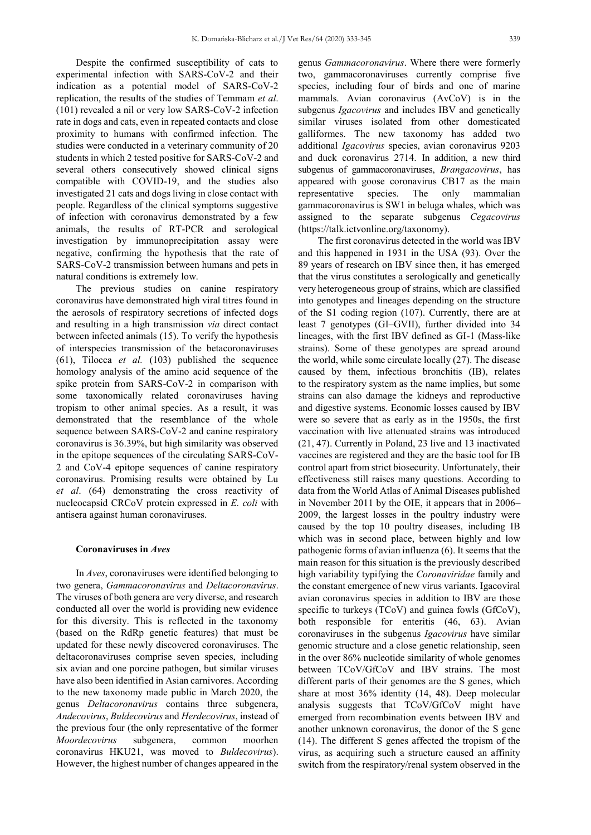Despite the confirmed susceptibility of cats to experimental infection with SARS-CoV-2 and their indication as a potential model of SARS-CoV-2 replication, the results of the studies of Temmam *et al*. (101) revealed a nil or very low SARS-CoV-2 infection rate in dogs and cats, even in repeated contacts and close proximity to humans with confirmed infection. The studies were conducted in a veterinary community of 20 students in which 2 tested positive for SARS-CoV-2 and several others consecutively showed clinical signs compatible with COVID-19, and the studies also investigated 21 cats and dogs living in close contact with people. Regardless of the clinical symptoms suggestive of infection with coronavirus demonstrated by a few animals, the results of RT-PCR and serological investigation by immunoprecipitation assay were negative, confirming the hypothesis that the rate of SARS-CoV-2 transmission between humans and pets in natural conditions is extremely low.

The previous studies on canine respiratory coronavirus have demonstrated high viral titres found in the aerosols of respiratory secretions of infected dogs and resulting in a high transmission *via* direct contact between infected animals (15). To verify the hypothesis of interspecies transmission of the betacoronaviruses (61), Tilocca *et al.* (103) published the sequence homology analysis of the amino acid sequence of the spike protein from SARS-CoV-2 in comparison with some taxonomically related coronaviruses having tropism to other animal species. As a result, it was demonstrated that the resemblance of the whole sequence between SARS-CoV-2 and canine respiratory coronavirus is 36.39%, but high similarity was observed in the epitope sequences of the circulating SARS-CoV-2 and CoV-4 epitope sequences of canine respiratory coronavirus. Promising results were obtained by Lu *et al*. (64) demonstrating the cross reactivity of nucleocapsid CRCoV protein expressed in *E. coli* with antisera against human coronaviruses.

# **Coronaviruses in** *Aves*

In *Aves*, coronaviruses were identified belonging to two genera, *Gammacoronavirus* and *Deltacoronavirus*. The viruses of both genera are very diverse, and research conducted all over the world is providing new evidence for this diversity. This is reflected in the taxonomy (based on the RdRp genetic features) that must be updated for these newly discovered coronaviruses. The deltacoronaviruses comprise seven species, including six avian and one porcine pathogen, but similar viruses have also been identified in Asian carnivores. According to the new taxonomy made public in March 2020, the genus *Deltacoronavirus* contains three subgenera, *Andecovirus*, *Buldecovirus* and *Herdecovirus*, instead of the previous four (the only representative of the former *Moordecovirus* subgenera, common moorhen coronavirus HKU21, was moved to *Buldecovirus*). However, the highest number of changes appeared in the

genus *Gammacoronavirus*. Where there were formerly two, gammacoronaviruses currently comprise five species, including four of birds and one of marine mammals. Avian coronavirus (AvCoV) is in the subgenus *Igacovirus* and includes IBV and genetically similar viruses isolated from other domesticated galliformes. The new taxonomy has added two additional *Igacovirus* species, avian coronavirus 9203 and duck coronavirus 2714. In addition, a new third subgenus of gammacoronaviruses, *Brangacovirus*, has appeared with goose coronavirus CB17 as the main representative species. The only mammalian gammacoronavirus is SW1 in beluga whales, which was assigned to the separate subgenus *Cegacovirus* (https://talk.ictvonline.org/taxonomy).

The first coronavirus detected in the world was IBV and this happened in 1931 in the USA (93). Over the 89 years of research on IBV since then, it has emerged that the virus constitutes a serologically and genetically very heterogeneous group of strains, which are classified into genotypes and lineages depending on the structure of the S1 coding region (107). Currently, there are at least 7 genotypes (GI–GVII), further divided into 34 lineages, with the first IBV defined as GI-1 (Mass-like strains). Some of these genotypes are spread around the world, while some circulate locally (27). The disease caused by them, infectious bronchitis (IB), relates to the respiratory system as the name implies, but some strains can also damage the kidneys and reproductive and digestive systems. Economic losses caused by IBV were so severe that as early as in the 1950s, the first vaccination with live attenuated strains was introduced (21, 47). Currently in Poland, 23 live and 13 inactivated vaccines are registered and they are the basic tool for IB control apart from strict biosecurity. Unfortunately, their effectiveness still raises many questions. According to data from the World Atlas of Animal Diseases published in November 2011 by the OIE, it appears that in 2006– 2009, the largest losses in the poultry industry were caused by the top 10 poultry diseases, including IB which was in second place, between highly and low pathogenic forms of avian influenza (6). It seems that the main reason for this situation is the previously described high variability typifying the *Coronaviridae* family and the constant emergence of new virus variants. Igacoviral avian coronavirus species in addition to IBV are those specific to turkeys (TCoV) and guinea fowls (GfCoV), both responsible for enteritis (46, 63). Avian coronaviruses in the subgenus *Igacovirus* have similar genomic structure and a close genetic relationship, seen in the over 86% nucleotide similarity of whole genomes between TCoV/GfCoV and IBV strains. The most different parts of their genomes are the S genes, which share at most 36% identity (14, 48). Deep molecular analysis suggests that TCoV/GfCoV might have emerged from recombination events between IBV and another unknown coronavirus, the donor of the S gene (14). The different S genes affected the tropism of the virus, as acquiring such a structure caused an affinity switch from the respiratory/renal system observed in the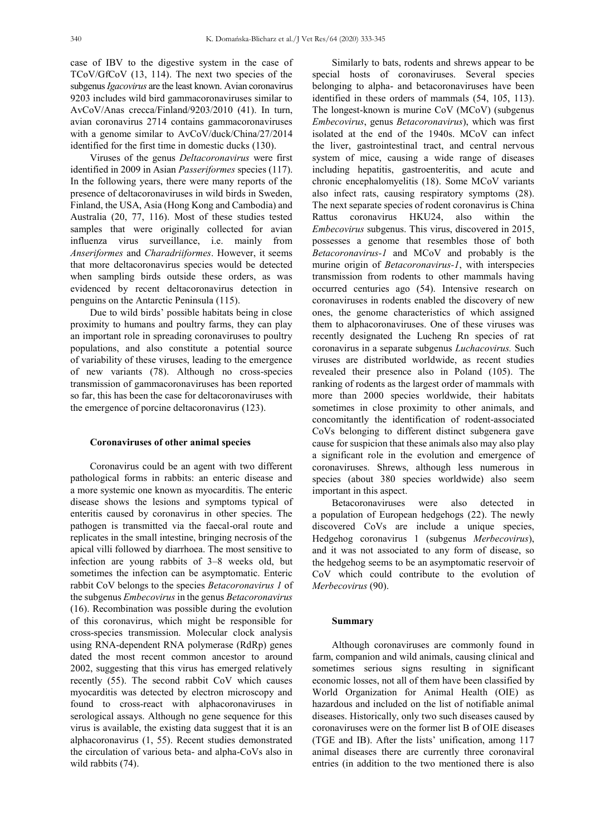case of IBV to the digestive system in the case of TCoV/GfCoV (13, 114). The next two species of the subgenus *Igacovirus* are the least known. Avian coronavirus 9203 includes wild bird gammacoronaviruses similar to AvCoV/Anas crecca/Finland/9203/2010 (41). In turn, avian coronavirus 2714 contains gammacoronaviruses with a genome similar to AvCoV/duck/China/27/2014 identified for the first time in domestic ducks (130).

Viruses of the genus *Deltacoronavirus* were first identified in 2009 in Asian *Passeriformes* species (117). In the following years, there were many reports of the presence of deltacoronaviruses in wild birds in Sweden, Finland, the USA, Asia (Hong Kong and Cambodia) and Australia (20, 77, 116). Most of these studies tested samples that were originally collected for avian influenza virus surveillance, i.e. mainly from *Anseriformes* and *Charadriiformes*. However, it seems that more deltacoronavirus species would be detected when sampling birds outside these orders, as was evidenced by recent deltacoronavirus detection in penguins on the Antarctic Peninsula (115).

Due to wild birds' possible habitats being in close proximity to humans and poultry farms, they can play an important role in spreading coronaviruses to poultry populations, and also constitute a potential source of variability of these viruses, leading to the emergence of new variants (78). Although no cross-species transmission of gammacoronaviruses has been reported so far, this has been the case for deltacoronaviruses with the emergence of porcine deltacoronavirus (123).

#### **Coronaviruses of other animal species**

Coronavirus could be an agent with two different pathological forms in rabbits: an enteric disease and a more systemic one known as myocarditis. The enteric disease shows the lesions and symptoms typical of enteritis caused by coronavirus in other species. The pathogen is transmitted via the faecal-oral route and replicates in the small intestine, bringing necrosis of the apical villi followed by diarrhoea. The most sensitive to infection are young rabbits of 3–8 weeks old, but sometimes the infection can be asymptomatic. Enteric rabbit CoV belongs to the species *Betacoronavirus 1* of the subgenus *Embecovirus* in the genus *Betacoronavirus*  (16). Recombination was possible during the evolution of this coronavirus, which might be responsible for cross-species transmission. Molecular clock analysis using RNA-dependent RNA polymerase (RdRp) genes dated the most recent common ancestor to around 2002, suggesting that this virus has emerged relatively recently (55). The second rabbit CoV which causes myocarditis was detected by electron microscopy and found to cross-react with alphacoronaviruses in serological assays. Although no gene sequence for this virus is available, the existing data suggest that it is an alphacoronavirus (1, 55). Recent studies demonstrated the circulation of various beta- and alpha-CoVs also in wild rabbits (74).

Similarly to bats, rodents and shrews appear to be special hosts of coronaviruses. Several species belonging to alpha- and betacoronaviruses have been identified in these orders of mammals (54, 105, 113). The longest-known is murine CoV (MCoV) (subgenus *Embecovirus*, genus *Betacoronavirus*), which was first isolated at the end of the 1940s. MCoV can infect the liver, gastrointestinal tract, and central nervous system of mice, causing a wide range of diseases including hepatitis, gastroenteritis, and acute and chronic encephalomyelitis (18). Some MCoV variants also infect rats, causing respiratory symptoms (28). The next separate species of rodent coronavirus is China Rattus coronavirus HKU24, also within the *Embecovirus* subgenus. This virus, discovered in 2015, possesses a genome that resembles those of both *Betacoronavirus-1* and MCoV and probably is the murine origin of *Betacoronavirus-1*, with interspecies transmission from rodents to other mammals having occurred centuries ago (54). Intensive research on coronaviruses in rodents enabled the discovery of new ones, the genome characteristics of which assigned them to alphacoronaviruses. One of these viruses was recently designated the Lucheng Rn species of rat coronavirus in a separate subgenus *Luchacovirus.* Such viruses are distributed worldwide, as recent studies revealed their presence also in Poland (105). The ranking of rodents as the largest order of mammals with more than 2000 species worldwide, their habitats sometimes in close proximity to other animals, and concomitantly the identification of rodent-associated CoVs belonging to different distinct subgenera gave cause for suspicion that these animals also may also play a significant role in the evolution and emergence of coronaviruses. Shrews, although less numerous in species (about 380 species worldwide) also seem important in this aspect.

Betacoronaviruses were also detected in a population of European hedgehogs (22). The newly discovered CoVs are include a unique species, Hedgehog coronavirus 1 (subgenus *Merbecovirus*), and it was not associated to any form of disease, so the hedgehog seems to be an asymptomatic reservoir of CoV which could contribute to the evolution of *Merbecovirus* (90).

#### **Summary**

Although coronaviruses are commonly found in farm, companion and wild animals, causing clinical and sometimes serious signs resulting in significant economic losses, not all of them have been classified by World Organization for Animal Health (OIE) as hazardous and included on the list of notifiable animal diseases. Historically, only two such diseases caused by coronaviruses were on the former list B of OIE diseases (TGE and IB). After the lists' unification, among 117 animal diseases there are currently three coronaviral entries (in addition to the two mentioned there is also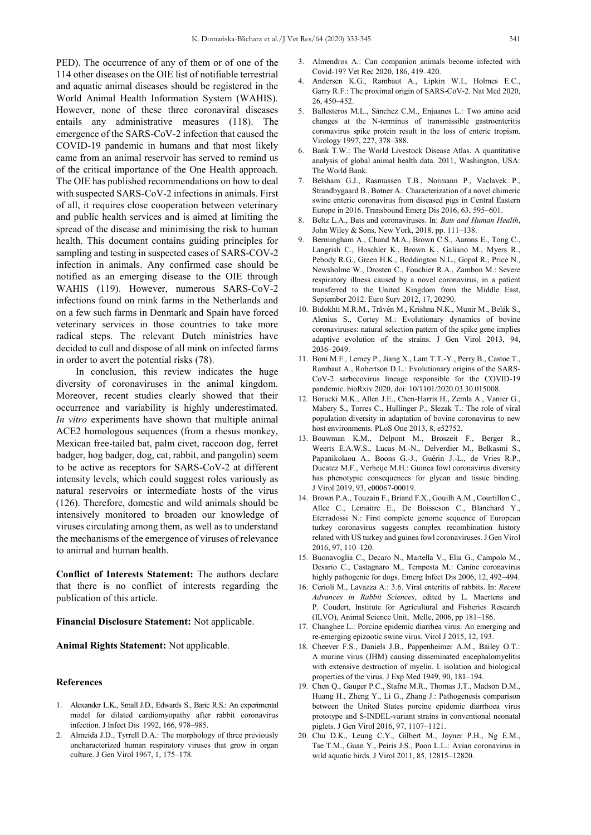PED). The occurrence of any of them or of one of the 114 other diseases on the OIE list of notifiable terrestrial and aquatic animal diseases should be registered in the World Animal Health Information System (WAHIS). However, none of these three coronaviral diseases entails any administrative measures (118). The emergence of the SARS-CoV-2 infection that caused the COVID-19 pandemic in humans and that most likely came from an animal reservoir has served to remind us of the critical importance of the One Health approach. The OIE has published recommendations on how to deal with suspected SARS-CoV-2 infections in animals. First of all, it requires close cooperation between veterinary and public health services and is aimed at limiting the spread of the disease and minimising the risk to human health. This document contains guiding principles for sampling and testing in suspected cases of SARS-COV-2 infection in animals. Any confirmed case should be notified as an emerging disease to the OIE through WAHIS (119). However, numerous SARS-CoV-2 infections found on mink farms in the Netherlands and on a few such farms in Denmark and Spain have forced veterinary services in those countries to take more radical steps. The relevant Dutch ministries have decided to cull and dispose of all mink on infected farms in order to avert the potential risks (78).

In conclusion, this review indicates the huge diversity of coronaviruses in the animal kingdom. Moreover, recent studies clearly showed that their occurrence and variability is highly underestimated. *In vitro* experiments have shown that multiple animal ACE2 homologous sequences (from a rhesus monkey, Mexican free-tailed bat, palm civet, raccoon dog, ferret badger, hog badger, dog, cat, rabbit, and pangolin) seem to be active as receptors for SARS-CoV-2 at different intensity levels, which could suggest roles variously as natural reservoirs or intermediate hosts of the virus (126). Therefore, domestic and wild animals should be intensively monitored to broaden our knowledge of viruses circulating among them, as well as to understand the mechanisms of the emergence of viruses of relevance to animal and human health.

**Conflict of Interests Statement:** The authors declare that there is no conflict of interests regarding the publication of this article.

**Financial Disclosure Statement:** Not applicable.

**Animal Rights Statement:** Not applicable.

## **References**

- 1. Alexander L.K., Small J.D., Edwards S., Baric R.S.: An experimental model for dilated cardiomyopathy after rabbit coronavirus infection. J Infect Dis 1992, 166, 978–985.
- 2. Almeida J.D., Tyrrell D.A.: The morphology of three previously uncharacterized human respiratory viruses that grow in organ culture. J Gen Virol 1967, 1, 175–178.
- 3. Almendros A.: Can companion animals become infected with Covid-19? Vet Rec 2020, 186, 419–420.
- 4. Andersen K.G., Rambaut A., Lipkin W.I., Holmes E.C., Garry R.F.: The proximal origin of SARS-CoV-2. Nat Med 2020, 26, 450–452.
- 5. Ballesteros M.L., Sánchez C.M., Enjuanes L.: Two amino acid changes at the N-terminus of transmissible gastroenteritis coronavirus spike protein result in the loss of enteric tropism. Virology 1997, 227, 378–388.
- 6. Bank T.W.: The World Livestock Disease Atlas. A quantitative analysis of global animal health data. 2011, Washington, USA: The World Bank.
- 7. Belsham G.J., Rasmussen T.B., Normann P., Vaclavek P., Strandbygaard B., Botner A.: Characterization of a novel chimeric swine enteric coronavirus from diseased pigs in Central Eastern Europe in 2016. Transbound Emerg Dis 2016, 63, 595–601.
- 8. Beltz L.A., Bats and coronaviruses. In: *Bats and Human Health*, John Wiley & Sons, New York, 2018. pp. 111–138.
- Bermingham A., Chand M.A., Brown C.S., Aarons E., Tong C., Langrish C., Hoschler K., Brown K., Galiano M., Myers R., Pebody R.G., Green H.K., Boddington N.L., Gopal R., Price N., Newsholme W., Drosten C., Fouchier R.A., Zambon M.: Severe respiratory illness caused by a novel coronavirus, in a patient transferred to the United Kingdom from the Middle East, September 2012. Euro Surv 2012, 17, 20290.
- 10. Bidokhti M.R.M., Tråvén M., Krishna N.K., Munir M., Belák S., Alenius S., Cortey M.: Evolutionary dynamics of bovine coronaviruses: natural selection pattern of the spike gene implies adaptive evolution of the strains. J Gen Virol 2013, 94, 2036–2049.
- 11. Boni M.F., Lemey P., Jiang X., Lam T.T.-Y., Perry B., Castoe T., Rambaut A., Robertson D.L.: Evolutionary origins of the SARS-CoV-2 sarbecovirus lineage responsible for the COVID-19 pandemic. bioRxiv 2020, doi: 10/1101/2020.03.30.015008.
- 12. Borucki M.K., Allen J.E., Chen-Harris H., Zemla A., Vanier G., Mabery S., Torres C., Hullinger P., Slezak T.: The role of viral population diversity in adaptation of bovine coronavirus to new host environments. PLoS One 2013, 8, e52752.
- 13. Bouwman K.M., Delpont M., Broszeit F., Berger R., Weerts E.A.W.S., Lucas M.-N., Delverdier M., Belkasmi S., Papanikolaou A., Boons G.-J., Guérin J.-L., de Vries R.P., Ducatez M.F., Verheije M.H.: Guinea fowl coronavirus diversity has phenotypic consequences for glycan and tissue binding. J Virol 2019, 93, e00067-00019.
- 14. Brown P.A., Touzain F., Briand F.X., Gouilh A.M., Courtillon C., Allee C., Lemaitre E., De Boisseson C., Blanchard Y., Eterradossi N.: First complete genome sequence of European turkey coronavirus suggests complex recombination history related with US turkey and guinea fowl coronaviruses. J Gen Virol 2016, 97, 110–120.
- 15. Buonavoglia C., Decaro N., Martella V., Elia G., Campolo M., Desario C., Castagnaro M., Tempesta M.: Canine coronavirus highly pathogenic for dogs. Emerg Infect Dis 2006, 12, 492–494.
- 16. Cerioli M., Lavazza A.: 3.6. Viral enteritis of rabbits. In: *Recent Advances in Rabbit Sciences*, edited by L. Maertens and P. Coudert, Institute for Agricultural and Fisheries Research (ILVO), Animal Science Unit, Melle, 2006, pp 181–186.
- 17. Changhee L.: Porcine epidemic diarrhea virus: An emerging and re-emerging epizootic swine virus. Virol J 2015, 12, 193.
- 18. Cheever F.S., Daniels J.B., Pappenheimer A.M., Bailey O.T.: A murine virus (JHM) causing disseminated encephalomyelitis with extensive destruction of myelin. I. isolation and biological properties of the virus. J Exp Med 1949, 90, 181–194.
- 19. Chen Q., Gauger P.C., Stafne M.R., Thomas J.T., Madson D.M., Huang H., Zheng Y., Li G., Zhang J.: Pathogenesis comparison between the United States porcine epidemic diarrhoea virus prototype and S-INDEL-variant strains in conventional neonatal piglets. J Gen Virol 2016, 97, 1107–1121.
- 20. Chu D.K., Leung C.Y., Gilbert M., Joyner P.H., Ng E.M., Tse T.M., Guan Y., Peiris J.S., Poon L.L.: Avian coronavirus in wild aquatic birds. J Virol 2011, 85, 12815–12820.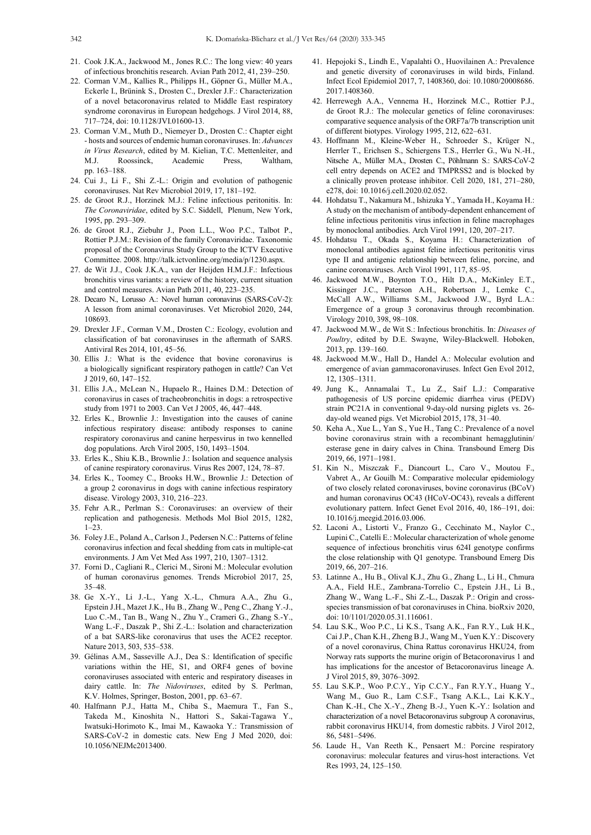- 21. Cook J.K.A., Jackwood M., Jones R.C.: The long view: 40 years of infectious bronchitis research. Avian Path 2012, 41, 239–250.
- 22. Corman V.M., Kallies R., Philipps H., Göpner G., Müller M.A., Eckerle I., Brünink S., Drosten C., Drexler J.F.: Characterization of a novel betacoronavirus related to Middle East respiratory syndrome coronavirus in European hedgehogs. J Virol 2014, 88, 717–724, doi: 10.1128/JVI.01600-13.
- 23. Corman V.M., Muth D., Niemeyer D., Drosten C.: Chapter eight - hosts and sources of endemic human coronaviruses. In: *Advances in Virus Research*, edited by M. Kielian, T.C. Mettenleiter, and M.J. Roossinck, Academic Press, Waltham, pp. 163–188.
- 24. Cui J., Li F., Shi Z.-L.: Origin and evolution of pathogenic coronaviruses. Nat Rev Microbiol 2019, 17, 181–192.
- 25. de Groot R.J., Horzinek M.J.: Feline infectious peritonitis. In: *The Coronaviridae*, edited by S.C. Siddell, Plenum, New York, 1995, pp. 293–309.
- 26. de Groot R.J., Ziebuhr J., Poon L.L., Woo P.C., Talbot P., Rottier P.J.M.: Revision of the family Coronaviridae. Taxonomic proposal of the Coronavirus Study Group to the ICTV Executive Committee. 2008. http://talk.ictvonline.org/media/p/1230.aspx.
- 27. de Wit J.J., Cook J.K.A., van der Heijden H.M.J.F.: Infectious bronchitis virus variants: a review of the history, current situation and control measures. Avian Path 2011, 40, 223–235.
- 28. Decaro N., Lorusso A.: Novel human coronavirus (SARS-CoV-2): A lesson from animal coronaviruses. Vet Microbiol 2020, 244, 108693.
- 29. Drexler J.F., Corman V.M., Drosten C.: Ecology, evolution and classification of bat coronaviruses in the aftermath of SARS. Antiviral Res 2014, 101, 45–56.
- 30. Ellis J.: What is the evidence that bovine coronavirus is a biologically significant respiratory pathogen in cattle? Can Vet J 2019, 60, 147–152.
- 31. Ellis J.A., McLean N., Hupaelo R., Haines D.M.: Detection of coronavirus in cases of tracheobronchitis in dogs: a retrospective study from 1971 to 2003. Can Vet J 2005, 46, 447–448.
- 32. Erles K., Brownlie J.: Investigation into the causes of canine infectious respiratory disease: antibody responses to canine respiratory coronavirus and canine herpesvirus in two kennelled dog populations. Arch Virol 2005, 150, 1493–1504.
- 33. Erles K., Shiu K.B., Brownlie J.: Isolation and sequence analysis of canine respiratory coronavirus. Virus Res 2007, 124, 78–87.
- 34. Erles K., Toomey C., Brooks H.W., Brownlie J.: Detection of a group 2 coronavirus in dogs with canine infectious respiratory disease. Virology 2003, 310, 216–223.
- 35. Fehr A.R., Perlman S.: Coronaviruses: an overview of their replication and pathogenesis. Methods Mol Biol 2015, 1282,  $1 - 23$
- 36. Foley J.E., Poland A., Carlson J., Pedersen N.C.: Patterns of feline coronavirus infection and fecal shedding from cats in multiple-cat environments. J Am Vet Med Ass 1997, 210, 1307–1312.
- 37. Forni D., Cagliani R., Clerici M., Sironi M.: Molecular evolution of human coronavirus genomes. Trends Microbiol 2017, 25, 35–48.
- 38. Ge X.-Y., Li J.-L., Yang X.-L., Chmura A.A., Zhu G., Epstein J.H., Mazet J.K., Hu B., Zhang W., Peng C., Zhang Y.-J., Luo C.-M., Tan B., Wang N., Zhu Y., Crameri G., Zhang S.-Y., Wang L.-F., Daszak P., Shi Z.-L.: Isolation and characterization of a bat SARS-like coronavirus that uses the ACE2 receptor. Nature 2013, 503, 535–538.
- 39. Gélinas A.M., Sasseville A.J., Dea S.: Identification of specific variations within the HE, S1, and ORF4 genes of bovine coronaviruses associated with enteric and respiratory diseases in dairy cattle. In: *The Nidoviruses*, edited by S. Perlman, K.V. Holmes, Springer, Boston, 2001, pp. 63–67.
- 40. Halfmann P.J., Hatta M., Chiba S., Maemura T., Fan S., Takeda M., Kinoshita N., Hattori S., Sakai-Tagawa Y., Iwatsuki-Horimoto K., Imai M., Kawaoka Y.: Transmission of SARS-CoV-2 in domestic cats. New Eng J Med 2020, doi: 10.1056/NEJMc2013400.
- 41. Hepojoki S., Lindh E., Vapalahti O., Huovilainen A.: Prevalence and genetic diversity of coronaviruses in wild birds, Finland. Infect Ecol Epidemiol 2017, 7, 1408360, doi: 10.1080/20008686. 2017.1408360.
- 42. Herrewegh A.A., Vennema H., Horzinek M.C., Rottier P.J., de Groot R.J.: The molecular genetics of feline coronaviruses: comparative sequence analysis of the ORF7a/7b transcription unit of different biotypes. Virology 1995, 212, 622–631.
- 43. Hoffmann M., Kleine-Weber H., Schroeder S., Krüger N., Herrler T., Erichsen S., Schiergens T.S., Herrler G., Wu N.-H., Nitsche A., Müller M.A., Drosten C., Pöhlmann S.: SARS-CoV-2 cell entry depends on ACE2 and TMPRSS2 and is blocked by a clinically proven protease inhibitor. Cell 2020, 181, 271–280, e278, doi: 10.1016/j.cell.2020.02.052.
- 44. Hohdatsu T., Nakamura M., Ishizuka Y., Yamada H., Koyama H.: A study on the mechanism of antibody-dependent enhancement of feline infectious peritonitis virus infection in feline macrophages by monoclonal antibodies. Arch Virol 1991, 120, 207–217.
- 45. Hohdatsu T., Okada S., Koyama H.: Characterization of monoclonal antibodies against feline infectious peritonitis virus type II and antigenic relationship between feline, porcine, and canine coronaviruses. Arch Virol 1991, 117, 85–95.
- 46. Jackwood M.W., Boynton T.O., Hilt D.A., McKinley E.T., Kissinger J.C., Paterson A.H., Robertson J., Lemke C., McCall A.W., Williams S.M., Jackwood J.W., Byrd L.A.: Emergence of a group 3 coronavirus through recombination. Virology 2010, 398, 98–108.
- 47. Jackwood M.W., de Wit S.: Infectious bronchitis. In: *Diseases of Poultry*, edited by D.E. Swayne, Wiley-Blackwell. Hoboken, 2013, pp. 139–160.
- 48. Jackwood M.W., Hall D., Handel A.: Molecular evolution and emergence of avian gammacoronaviruses. Infect Gen Evol 2012, 12, 1305–1311.
- 49. Jung K., Annamalai T., Lu Z., Saif L.J.: Comparative pathogenesis of US porcine epidemic diarrhea virus (PEDV) strain PC21A in conventional 9-day-old nursing piglets vs. 26 day-old weaned pigs. Vet Microbiol 2015, 178, 31–40.
- 50. Keha A., Xue L., Yan S., Yue H., Tang C.: Prevalence of a novel bovine coronavirus strain with a recombinant hemagglutinin/ esterase gene in dairy calves in China. Transbound Emerg Dis 2019, 66, 1971–1981.
- 51. Kin N., Miszczak F., Diancourt L., Caro V., Moutou F., Vabret A., Ar Gouilh M.: Comparative molecular epidemiology of two closely related coronaviruses, bovine coronavirus (BCoV) and human coronavirus OC43 (HCoV-OC43), reveals a different evolutionary pattern. Infect Genet Evol 2016, 40, 186–191, doi: 10.1016/j.meegid.2016.03.006.
- 52. Laconi A., Listorti V., Franzo G., Cecchinato M., Naylor C., Lupini C., Catelli E.: Molecular characterization of whole genome sequence of infectious bronchitis virus 624I genotype confirms the close relationship with Q1 genotype. Transbound Emerg Dis 2019, 66, 207–216.
- 53. Latinne A., Hu B., Olival K.J., Zhu G., Zhang L., Li H., Chmura A.A., Field H.E., Zambrana-Torrelio C., Epstein J.H., Li B., Zhang W., Wang L.-F., Shi Z.-L., Daszak P.: Origin and crossspecies transmission of bat coronaviruses in China. bioRxiv 2020, doi: 10/1101/2020.05.31.116061.
- 54. Lau S.K., Woo P.C., Li K.S., Tsang A.K., Fan R.Y., Luk H.K., Cai J.P., Chan K.H., Zheng B.J., Wang M., Yuen K.Y.: Discovery of a novel coronavirus, China Rattus coronavirus HKU24, from Norway rats supports the murine origin of Betacoronavirus 1 and has implications for the ancestor of Betacoronavirus lineage A. J Virol 2015, 89, 3076–3092.
- 55. Lau S.K.P., Woo P.C.Y., Yip C.C.Y., Fan R.Y.Y., Huang Y., Wang M., Guo R., Lam C.S.F., Tsang A.K.L., Lai K.K.Y., Chan K.-H., Che X.-Y., Zheng B.-J., Yuen K.-Y.: Isolation and characterization of a novel Betacoronavirus subgroup A coronavirus, rabbit coronavirus HKU14, from domestic rabbits. J Virol 2012, 86, 5481–5496.
- 56. Laude H., Van Reeth K., Pensaert M.: Porcine respiratory coronavirus: molecular features and virus-host interactions. Vet Res 1993, 24, 125–150.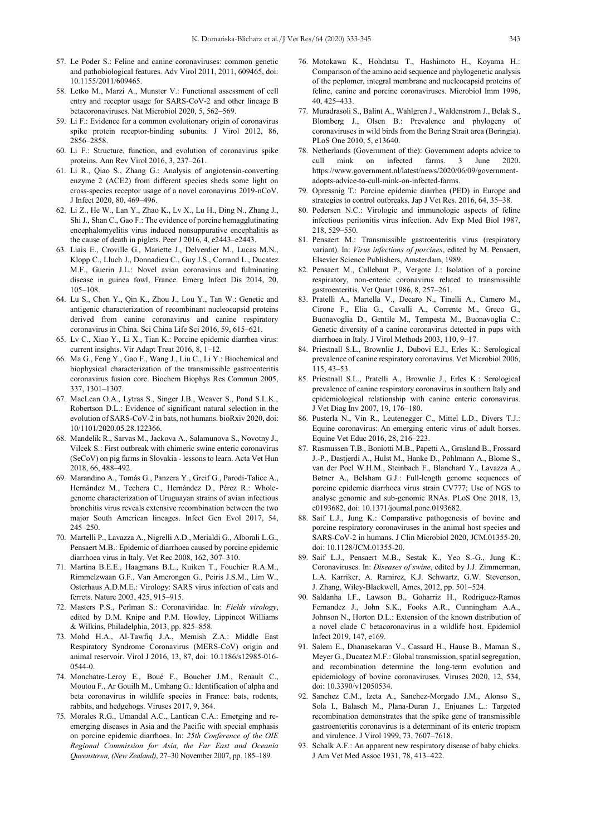- 57. Le Poder S.: Feline and canine coronaviruses: common genetic and pathobiological features. Adv Virol 2011, 2011, 609465, doi: 10.1155/2011/609465.
- 58. Letko M., Marzi A., Munster V.: Functional assessment of cell entry and receptor usage for SARS-CoV-2 and other lineage B betacoronaviruses. Nat Microbiol 2020, 5, 562–569.
- 59. Li F.: Evidence for a common evolutionary origin of coronavirus spike protein receptor-binding subunits. J Virol 2012, 86, 2856–2858.
- 60. Li F.: Structure, function, and evolution of coronavirus spike proteins. Ann Rev Virol 2016, 3, 237–261.
- 61. Li R., Qiao S., Zhang G.: Analysis of angiotensin-converting enzyme 2 (ACE2) from different species sheds some light on cross-species receptor usage of a novel coronavirus 2019-nCoV. J Infect 2020, 80, 469–496.
- 62. Li Z., He W., Lan Y., Zhao K., Lv X., Lu H., Ding N., Zhang J., Shi J., Shan C., Gao F.: The evidence of porcine hemagglutinating encephalomyelitis virus induced nonsuppurative encephalitis as the cause of death in piglets. Peer J 2016, 4, e2443–e2443.
- 63. Liais E., Croville G., Mariette J., Delverdier M., Lucas M.N., Klopp C., Lluch J., Donnadieu C., Guy J.S., Corrand L., Ducatez M.F., Guerin J.L.: Novel avian coronavirus and fulminating disease in guinea fowl, France. Emerg Infect Dis 2014, 20, 105–108.
- 64. Lu S., Chen Y., Qin K., Zhou J., Lou Y., Tan W.: Genetic and antigenic characterization of recombinant nucleocapsid proteins derived from canine coronavirus and canine respiratory coronavirus in China. Sci China Life Sci 2016, 59, 615–621.
- 65. Lv C., Xiao Y., Li X., Tian K.: Porcine epidemic diarrhea virus: current insights. Vir Adapt Treat 2016, 8, 1–12.
- 66. Ma G., Feng Y., Gao F., Wang J., Liu C., Li Y.: Biochemical and biophysical characterization of the transmissible gastroenteritis coronavirus fusion core. Biochem Biophys Res Commun 2005, 337, 1301–1307.
- 67. MacLean O.A., Lytras S., Singer J.B., Weaver S., Pond S.L.K., Robertson D.L.: Evidence of significant natural selection in the evolution of SARS-CoV-2 in bats, not humans. bioRxiv 2020, doi: 10/1101/2020.05.28.122366.
- 68. Mandelik R., Sarvas M., Jackova A., Salamunova S., Novotny J., Vilcek S.: First outbreak with chimeric swine enteric coronavirus (SeCoV) on pig farms in Slovakia - lessons to learn. Acta Vet Hun 2018, 66, 488–492.
- 69. Marandino A., Tomás G., Panzera Y., Greif G., Parodi-Talice A., Hernández M., Techera C., Hernández D., Pérez R.: Wholegenome characterization of Uruguayan strains of avian infectious bronchitis virus reveals extensive recombination between the two major South American lineages. Infect Gen Evol 2017, 54, 245–250.
- 70. Martelli P., Lavazza A., Nigrelli A.D., Merialdi G., Alborali L.G., Pensaert M.B.: Epidemic of diarrhoea caused by porcine epidemic diarrhoea virus in Italy. Vet Rec 2008, 162, 307–310.
- 71. Martina B.E.E., Haagmans B.L., Kuiken T., Fouchier R.A.M., Rimmelzwaan G.F., Van Amerongen G., Peiris J.S.M., Lim W., Osterhaus A.D.M.E.: Virology: SARS virus infection of cats and ferrets. Nature 2003, 425, 915–915.
- 72. Masters P.S., Perlman S.: Coronaviridae. In: *Fields virology*, edited by D.M. Knipe and P.M. Howley, Lippincot Williams & Wilkins, Philadelphia, 2013, pp. 825–858.
- 73. Mohd H.A., Al-Tawfiq J.A., Memish Z.A.: Middle East Respiratory Syndrome Coronavirus (MERS-CoV) origin and animal reservoir. Virol J 2016, 13, 87, doi: 10.1186/s12985-016- 0544-0.
- 74. Monchatre-Leroy E., Boué F., Boucher J.M., Renault C., Moutou F., Ar Gouilh M., Umhang G.: Identification of alpha and beta coronavirus in wildlife species in France: bats, rodents, rabbits, and hedgehogs. Viruses 2017, 9, 364.
- 75. Morales R.G., Umandal A.C., Lantican C.A.: Emerging and reemerging diseases in Asia and the Pacific with special emphasis on porcine epidemic diarrhoea. In: *25th Conference of the OIE Regional Commission for Asia, the Far East and Oceania Queenstown, (New Zealand)*, 27–30 November 2007, pp. 185–189.
- 76. Motokawa K., Hohdatsu T., Hashimoto H., Koyama H.: Comparison of the amino acid sequence and phylogenetic analysis of the peplomer, integral membrane and nucleocapsid proteins of feline, canine and porcine coronaviruses. Microbiol Imm 1996, 40, 425–433.
- 77. Muradrasoli S., Balint A., Wahlgren J., Waldenstrom J., Belak S., Blomberg J., Olsen B.: Prevalence and phylogeny of coronaviruses in wild birds from the Bering Strait area (Beringia). PLoS One 2010, 5, e13640.
- 78. Netherlands (Government of the): Government adopts advice to cull mink on infected farms. 3 June 2020. https://www.government.nl/latest/news/2020/06/09/governmentadopts-advice-to-cull-mink-on-infected-farms.
- 79. Opressnig T.: Porcine epidemic diarrhea (PED) in Europe and strategies to control outbreaks. Jap J Vet Res. 2016, 64, 35–38.
- 80. Pedersen N.C.: Virologic and immunologic aspects of feline infectious peritonitis virus infection. Adv Exp Med Biol 1987, 218, 529–550.
- 81. Pensaert M.: Transmissible gastroenteritis virus (respiratory variant). In: *Virus infections of porcines*, edited by M. Pensaert, Elsevier Science Publishers, Amsterdam, 1989.
- 82. Pensaert M., Callebaut P., Vergote J.: Isolation of a porcine respiratory, non-enteric coronavirus related to transmissible gastroenteritis. Vet Quart 1986, 8, 257–261.
- 83. Pratelli A., Martella V., Decaro N., Tinelli A., Camero M., Cirone F., Elia G., Cavalli A., Corrente M., Greco G., Buonavoglia D., Gentile M., Tempesta M., Buonavoglia C.: Genetic diversity of a canine coronavirus detected in pups with diarrhoea in Italy. J Virol Methods 2003, 110, 9–17.
- 84. Priestnall S.L., Brownlie J., Dubovi E.J., Erles K.: Serological prevalence of canine respiratory coronavirus. Vet Microbiol 2006, 115, 43–53.
- 85. Priestnall S.L., Pratelli A., Brownlie J., Erles K.: Serological prevalence of canine respiratory coronavirus in southern Italy and epidemiological relationship with canine enteric coronavirus. J Vet Diag Inv 2007, 19, 176–180.
- 86. Pusterla N., Vin R., Leutenegger C., Mittel L.D., Divers T.J.: Equine coronavirus: An emerging enteric virus of adult horses. Equine Vet Educ 2016, 28, 216–223.
- 87. Rasmussen T.B., Boniotti M.B., Papetti A., Grasland B., Frossard J.-P., Dastjerdi A., Hulst M., Hanke D., Pohlmann A., Blome S., van der Poel W.H.M., Steinbach F., Blanchard Y., Lavazza A., Bøtner A., Belsham G.J.: Full-length genome sequences of porcine epidemic diarrhoea virus strain CV777; Use of NGS to analyse genomic and sub-genomic RNAs. PLoS One 2018, 13, e0193682, doi: 10.1371/journal.pone.0193682.
- 88. Saif L.J., Jung K.: Comparative pathogenesis of bovine and porcine respiratory coronaviruses in the animal host species and SARS-CoV-2 in humans. J Clin Microbiol 2020, JCM.01355-20. doi: 10.1128/JCM.01355-20.
- 89. Saif L.J., Pensaert M.B., Sestak K., Yeo S.-G., Jung K.: Coronaviruses. In: *Diseases of swine*, edited by J.J. Zimmerman, L.A. Karriker, A. Ramirez, K.J. Schwartz, G.W. Stevenson, J. Zhang, Wiley-Blackwell, Ames, 2012, pp. 501–524.
- 90. Saldanha I.F., Lawson B., Goharriz H., Rodriguez-Ramos Fernandez J., John S.K., Fooks A.R., Cunningham A.A., Johnson N., Horton D.L.: Extension of the known distribution of a novel clade C betacoronavirus in a wildlife host. Epidemiol Infect 2019, 147, e169.
- 91. Salem E., Dhanasekaran V., Cassard H., Hause B., Maman S., Meyer G., Ducatez M.F.: Global transmission, spatial segregation, and recombination determine the long-term evolution and epidemiology of bovine coronaviruses. Viruses 2020, 12, 534, doi: 10.3390/v12050534.
- 92. Sanchez C.M., Izeta A., Sanchez-Morgado J.M., Alonso S., Sola I., Balasch M., Plana-Duran J., Enjuanes L.: Targeted recombination demonstrates that the spike gene of transmissible gastroenteritis coronavirus is a determinant of its enteric tropism and virulence. J Virol 1999, 73, 7607–7618.
- 93. Schalk A.F.: An apparent new respiratory disease of baby chicks. J Am Vet Med Assoc 1931, 78, 413–422.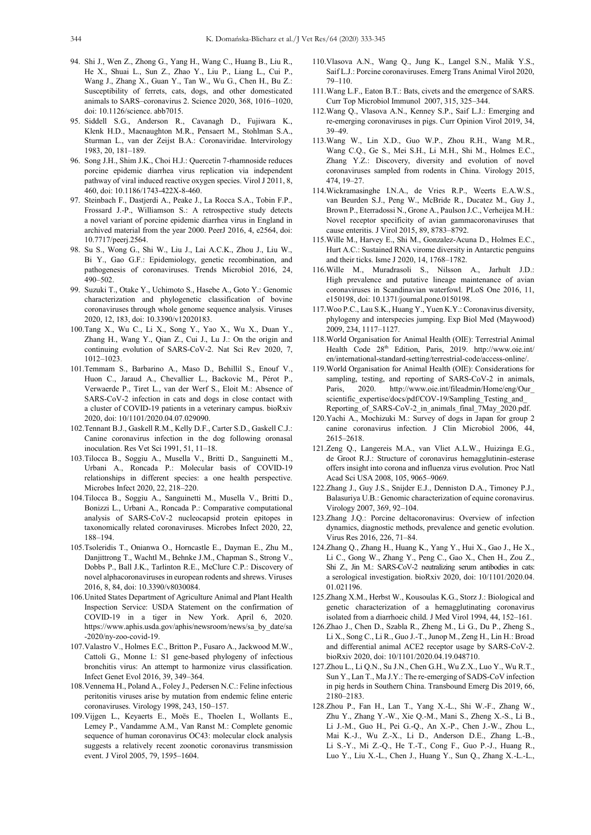- 94. Shi J., Wen Z., Zhong G., Yang H., Wang C., Huang B., Liu R., He X., Shuai L., Sun Z., Zhao Y., Liu P., Liang L., Cui P., Wang J., Zhang X., Guan Y., Tan W., Wu G., Chen H., Bu Z.: Susceptibility of ferrets, cats, dogs, and other domesticated animals to SARS–coronavirus 2. Science 2020, 368, 1016–1020, doi: 10.1126/science. abb7015.
- 95. Siddell S.G., Anderson R., Cavanagh D., Fujiwara K., Klenk H.D., Macnaughton M.R., Pensaert M., Stohlman S.A., Sturman L., van der Zeijst B.A.: Coronaviridae. Intervirology 1983, 20, 181–189.
- 96. Song J.H., Shim J.K., Choi H.J.: Quercetin 7-rhamnoside reduces porcine epidemic diarrhea virus replication via independent pathway of viral induced reactive oxygen species. Virol J 2011, 8, 460, doi: 10.1186/1743-422X-8-460.
- 97. Steinbach F., Dastjerdi A., Peake J., La Rocca S.A., Tobin F.P., Frossard J.-P., Williamson S.: A retrospective study detects a novel variant of porcine epidemic diarrhea virus in England in archived material from the year 2000. PeerJ 2016, 4, e2564, doi: 10.7717/peerj.2564.
- 98. Su S., Wong G., Shi W., Liu J., Lai A.C.K., Zhou J., Liu W., Bi Y., Gao G.F.: Epidemiology, genetic recombination, and pathogenesis of coronaviruses. Trends Microbiol 2016, 24, 490–502.
- 99. Suzuki T., Otake Y., Uchimoto S., Hasebe A., Goto Y.: Genomic characterization and phylogenetic classification of bovine coronaviruses through whole genome sequence analysis. Viruses 2020, 12, 183, doi: 10.3390/v12020183.
- 100.Tang X., Wu C., Li X., Song Y., Yao X., Wu X., Duan Y., Zhang H., Wang Y., Qian Z., Cui J., Lu J.: On the origin and continuing evolution of SARS-CoV-2. Nat Sci Rev 2020, 7, 1012–1023.
- 101.Temmam S., Barbarino A., Maso D., Behillil S., Enouf V., Huon C., Jaraud A., Chevallier L., Backovic M., Pérot P., Verwaerde P., Tiret L., van der Werf S., Eloit M.: Absence of SARS-CoV-2 infection in cats and dogs in close contact with a cluster of COVID-19 patients in a veterinary campus. bioRxiv 2020, doi: 10/1101/2020.04.07.029090.
- 102.Tennant B.J., Gaskell R.M., Kelly D.F., Carter S.D., Gaskell C.J.: Canine coronavirus infection in the dog following oronasal inoculation. Res Vet Sci 1991, 51, 11–18.
- 103.Tilocca B., Soggiu A., Musella V., Britti D., Sanguinetti M., Urbani A., Roncada P.: Molecular basis of COVID-19 relationships in different species: a one health perspective. Microbes Infect 2020, 22, 218–220.
- 104.Tilocca B., Soggiu A., Sanguinetti M., Musella V., Britti D., Bonizzi L., Urbani A., Roncada P.: Comparative computational analysis of SARS-CoV-2 nucleocapsid protein epitopes in taxonomically related coronaviruses. Microbes Infect 2020, 22, 188–194.
- 105.Tsoleridis T., Onianwa O., Horncastle E., Dayman E., Zhu M., Danjittrong T., Wachtl M., Behnke J.M., Chapman S., Strong V., Dobbs P., Ball J.K., Tarlinton R.E., McClure C.P.: Discovery of novel alphacoronaviruses in european rodents and shrews. Viruses 2016, 8, 84, doi: 10.3390/v8030084.
- 106.United States Department of Agriculture Animal and Plant Health Inspection Service: USDA Statement on the confirmation of COVID-19 in a tiger in New York. April 6, 2020. https://www.aphis.usda.gov/aphis/newsroom/news/sa\_by\_date/sa -2020/ny-zoo-covid-19.
- 107.Valastro V., Holmes E.C., Britton P., Fusaro A., Jackwood M.W., Cattoli G., Monne I.: S1 gene-based phylogeny of infectious bronchitis virus: An attempt to harmonize virus classification. Infect Genet Evol 2016, 39, 349–364.
- 108.Vennema H., Poland A., Foley J., Pedersen N.C.: Feline infectious peritonitis viruses arise by mutation from endemic feline enteric coronaviruses. Virology 1998, 243, 150–157.
- 109.Vijgen L., Keyaerts E., Moës E., Thoelen I., Wollants E., Lemey P., Vandamme A.M., Van Ranst M.: Complete genomic sequence of human coronavirus OC43: molecular clock analysis suggests a relatively recent zoonotic coronavirus transmission event. J Virol 2005, 79, 1595–1604.
- 110.Vlasova A.N., Wang Q., Jung K., Langel S.N., Malik Y.S., Saif L.J.: Porcine coronaviruses. Emerg Trans Animal Virol 2020, 79–110.
- 111.Wang L.F., Eaton B.T.: Bats, civets and the emergence of SARS. Curr Top Microbiol Immunol 2007, 315, 325–344.
- 112.Wang Q., Vlasova A.N., Kenney S.P., Saif L.J.: Emerging and re-emerging coronaviruses in pigs. Curr Opinion Virol 2019, 34, 39–49.
- 113.Wang W., Lin X.D., Guo W.P., Zhou R.H., Wang M.R., Wang C.Q., Ge S., Mei S.H., Li M.H., Shi M., Holmes E.C., Zhang Y.Z.: Discovery, diversity and evolution of novel coronaviruses sampled from rodents in China. Virology 2015, 474, 19–27.
- 114.Wickramasinghe I.N.A., de Vries R.P., Weerts E.A.W.S., van Beurden S.J., Peng W., McBride R., Ducatez M., Guy J., Brown P., Eterradossi N., Grone A., Paulson J.C., Verheijea M.H.: Novel receptor specificity of avian gammacoronaviruses that cause enteritis. J Virol 2015, 89, 8783–8792.
- 115.Wille M., Harvey E., Shi M., Gonzalez-Acuna D., Holmes E.C., Hurt A.C.: Sustained RNA virome diversity in Antarctic penguins and their ticks. Isme J 2020, 14, 1768–1782.
- 116.Wille M., Muradrasoli S., Nilsson A., Jarhult J.D.: High prevalence and putative lineage maintenance of avian coronaviruses in Scandinavian waterfowl. PLoS One 2016, 11, e150198, doi: 10.1371/journal.pone.0150198.
- 117.Woo P.C., Lau S.K., Huang Y., Yuen K.Y.: Coronavirus diversity, phylogeny and interspecies jumping. Exp Biol Med (Maywood) 2009, 234, 1117–1127.
- 118.World Organisation for Animal Health (OIE): Terrestrial Animal Health Code 28<sup>th</sup> Edition, Paris, 2019. http://www.oie.int/ en/international-standard-setting/terrestrial-code/access-online/.
- 119.World Organisation for Animal Health (OIE): Considerations for sampling, testing, and reporting of SARS-CoV-2 in animals, Paris, 2020. http://www.oie.int/fileadmin/Home/eng/Our\_ scientific\_expertise/docs/pdf/COV-19/Sampling\_Testing\_and Reporting\_of\_SARS-CoV-2\_in\_animals\_final\_7May\_2020.pdf.
- 120.Yachi A., Mochizuki M.: Survey of dogs in Japan for group 2 canine coronavirus infection. J Clin Microbiol 2006, 44, 2615–2618.
- 121.Zeng Q., Langereis M.A., van Vliet A.L.W., Huizinga E.G., de Groot R.J.: Structure of coronavirus hemagglutinin-esterase offers insight into corona and influenza virus evolution. Proc Natl Acad Sci USA 2008, 105, 9065–9069.
- 122.Zhang J., Guy J.S., Snijder E.J., Denniston D.A., Timoney P.J., Balasuriya U.B.: Genomic characterization of equine coronavirus. Virology 2007, 369, 92–104.
- 123.Zhang J.Q.: Porcine deltacoronavirus: Overview of infection dynamics, diagnostic methods, prevalence and genetic evolution. Virus Res 2016, 226, 71–84.
- 124.Zhang Q., Zhang H., Huang K., Yang Y., Hui X., Gao J., He X., Li C., Gong W., Zhang Y., Peng C., Gao X., Chen H., Zou Z., Shi Z., Jin M.: SARS-CoV-2 neutralizing serum antibodies in cats: a serological investigation. bioRxiv 2020, doi: 10/1101/2020.04. 01.021196.
- 125.Zhang X.M., Herbst W., Kousoulas K.G., Storz J.: Biological and genetic characterization of a hemagglutinating coronavirus isolated from a diarrhoeic child. J Med Virol 1994, 44, 152–161.
- 126.Zhao J., Chen D., Szabla R., Zheng M., Li G., Du P., Zheng S., Li X., Song C., Li R., Guo J.-T., Junop M., Zeng H., Lin H.: Broad and differential animal ACE2 receptor usage by SARS-CoV-2. bioRxiv 2020, doi: 10/1101/2020.04.19.048710.
- 127.Zhou L., Li Q.N., Su J.N., Chen G.H., Wu Z.X., Luo Y., Wu R.T., Sun Y., Lan T., Ma J.Y.: The re-emerging of SADS-CoV infection in pig herds in Southern China. Transbound Emerg Dis 2019, 66, 2180–2183.
- 128.Zhou P., Fan H., Lan T., Yang X.-L., Shi W.-F., Zhang W., Zhu Y., Zhang Y.-W., Xie Q.-M., Mani S., Zheng X.-S., Li B., Li J.-M., Guo H., Pei G.-Q., An X.-P., Chen J.-W., Zhou L., Mai K.-J., Wu Z.-X., Li D., Anderson D.E., Zhang L.-B., Li S.-Y., Mi Z.-Q., He T.-T., Cong F., Guo P.-J., Huang R., Luo Y., Liu X.-L., Chen J., Huang Y., Sun Q., Zhang X.-L.-L.,